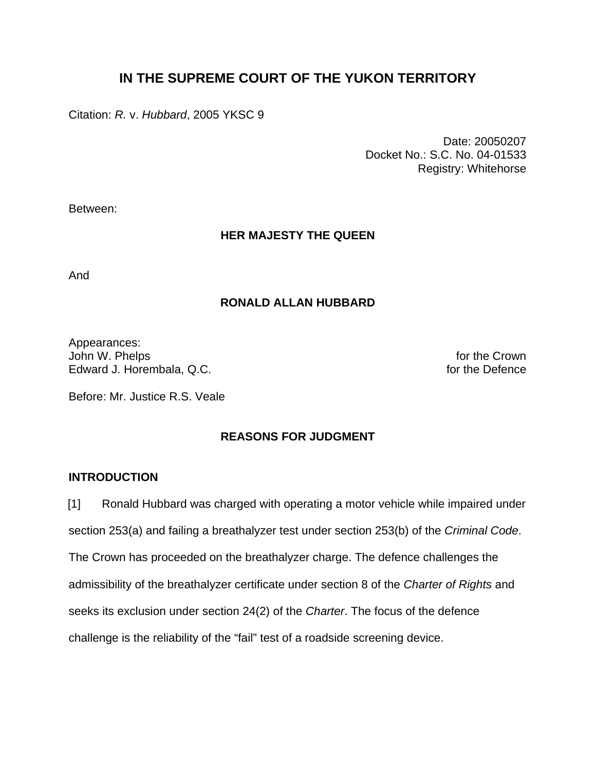# **IN THE SUPREME COURT OF THE YUKON TERRITORY**

Citation: *R.* v. *Hubbard*, 2005 YKSC 9

 Date: 20050207 Docket No.: S.C. No. 04-01533 Registry: Whitehorse

Between:

### **HER MAJESTY THE QUEEN**

And

### **RONALD ALLAN HUBBARD**

Appearances: John W. Phelps for the Crown<br>Edward J. Horembala. Q.C. Edward J. Horembala. Q.C. Edward J. Horembala, Q.C.

Before: Mr. Justice R.S. Veale

# **REASONS FOR JUDGMENT**

### **INTRODUCTION**

[1] Ronald Hubbard was charged with operating a motor vehicle while impaired under section 253(a) and failing a breathalyzer test under section 253(b) of the *Criminal Code*. The Crown has proceeded on the breathalyzer charge. The defence challenges the admissibility of the breathalyzer certificate under section 8 of the *Charter of Rights* and seeks its exclusion under section 24(2) of the *Charter*. The focus of the defence challenge is the reliability of the "fail" test of a roadside screening device.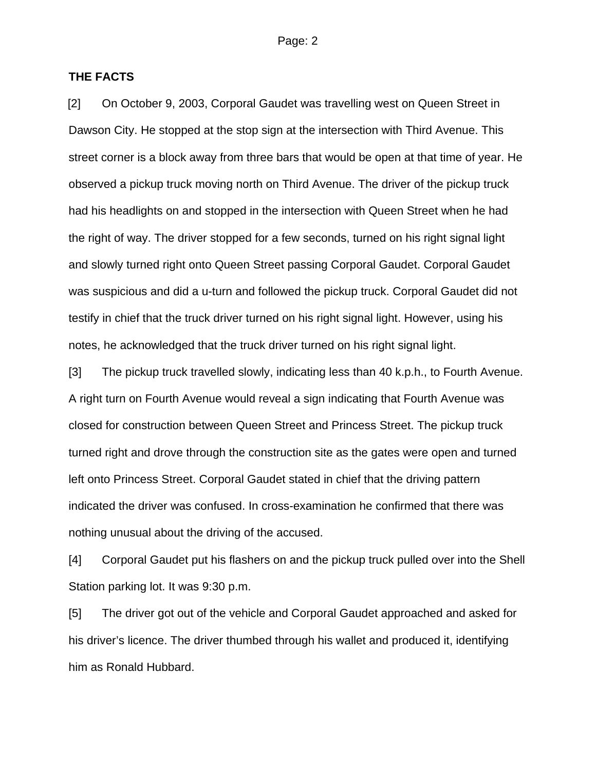#### **THE FACTS**

[2] On October 9, 2003, Corporal Gaudet was travelling west on Queen Street in Dawson City. He stopped at the stop sign at the intersection with Third Avenue. This street corner is a block away from three bars that would be open at that time of year. He observed a pickup truck moving north on Third Avenue. The driver of the pickup truck had his headlights on and stopped in the intersection with Queen Street when he had the right of way. The driver stopped for a few seconds, turned on his right signal light and slowly turned right onto Queen Street passing Corporal Gaudet. Corporal Gaudet was suspicious and did a u-turn and followed the pickup truck. Corporal Gaudet did not testify in chief that the truck driver turned on his right signal light. However, using his notes, he acknowledged that the truck driver turned on his right signal light.

[3] The pickup truck travelled slowly, indicating less than 40 k.p.h., to Fourth Avenue. A right turn on Fourth Avenue would reveal a sign indicating that Fourth Avenue was closed for construction between Queen Street and Princess Street. The pickup truck turned right and drove through the construction site as the gates were open and turned left onto Princess Street. Corporal Gaudet stated in chief that the driving pattern indicated the driver was confused. In cross-examination he confirmed that there was nothing unusual about the driving of the accused.

[4] Corporal Gaudet put his flashers on and the pickup truck pulled over into the Shell Station parking lot. It was 9:30 p.m.

[5] The driver got out of the vehicle and Corporal Gaudet approached and asked for his driver's licence. The driver thumbed through his wallet and produced it, identifying him as Ronald Hubbard.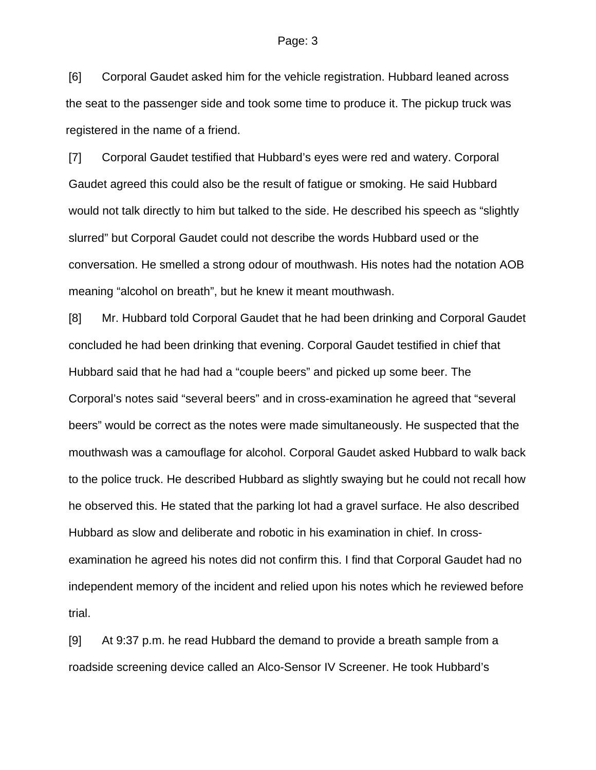[6] Corporal Gaudet asked him for the vehicle registration. Hubbard leaned across the seat to the passenger side and took some time to produce it. The pickup truck was registered in the name of a friend.

[7] Corporal Gaudet testified that Hubbard's eyes were red and watery. Corporal Gaudet agreed this could also be the result of fatigue or smoking. He said Hubbard would not talk directly to him but talked to the side. He described his speech as "slightly slurred" but Corporal Gaudet could not describe the words Hubbard used or the conversation. He smelled a strong odour of mouthwash. His notes had the notation AOB meaning "alcohol on breath", but he knew it meant mouthwash.

[8] Mr. Hubbard told Corporal Gaudet that he had been drinking and Corporal Gaudet concluded he had been drinking that evening. Corporal Gaudet testified in chief that Hubbard said that he had had a "couple beers" and picked up some beer. The Corporal's notes said "several beers" and in cross-examination he agreed that "several beers" would be correct as the notes were made simultaneously. He suspected that the mouthwash was a camouflage for alcohol. Corporal Gaudet asked Hubbard to walk back to the police truck. He described Hubbard as slightly swaying but he could not recall how he observed this. He stated that the parking lot had a gravel surface. He also described Hubbard as slow and deliberate and robotic in his examination in chief. In crossexamination he agreed his notes did not confirm this. I find that Corporal Gaudet had no independent memory of the incident and relied upon his notes which he reviewed before trial.

[9] At 9:37 p.m. he read Hubbard the demand to provide a breath sample from a roadside screening device called an Alco-Sensor IV Screener. He took Hubbard's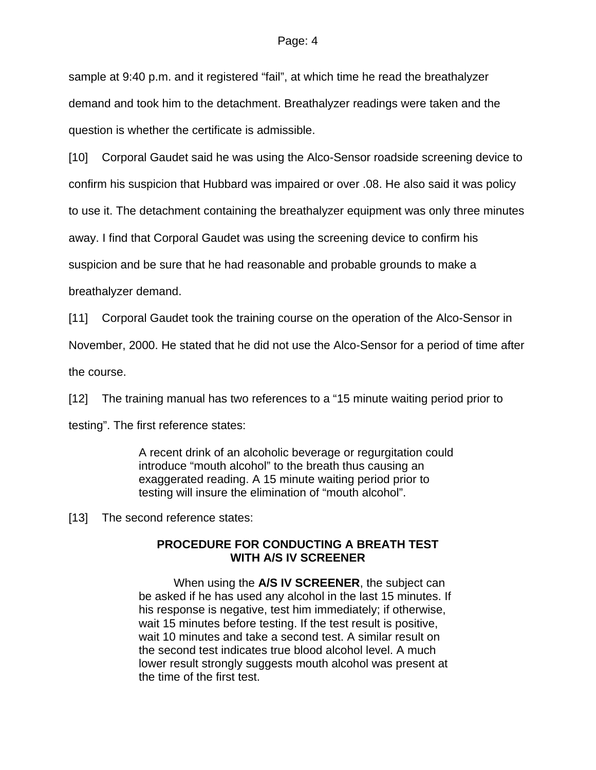sample at 9:40 p.m. and it registered "fail", at which time he read the breathalyzer demand and took him to the detachment. Breathalyzer readings were taken and the question is whether the certificate is admissible.

[10] Corporal Gaudet said he was using the Alco-Sensor roadside screening device to

confirm his suspicion that Hubbard was impaired or over .08. He also said it was policy

to use it. The detachment containing the breathalyzer equipment was only three minutes

away. I find that Corporal Gaudet was using the screening device to confirm his

suspicion and be sure that he had reasonable and probable grounds to make a

breathalyzer demand.

[11] Corporal Gaudet took the training course on the operation of the Alco-Sensor in

November, 2000. He stated that he did not use the Alco-Sensor for a period of time after

the course.

[12] The training manual has two references to a "15 minute waiting period prior to

testing". The first reference states:

A recent drink of an alcoholic beverage or regurgitation could introduce "mouth alcohol" to the breath thus causing an exaggerated reading. A 15 minute waiting period prior to testing will insure the elimination of "mouth alcohol".

[13] The second reference states:

# **PROCEDURE FOR CONDUCTING A BREATH TEST WITH A/S IV SCREENER**

 When using the **A/S IV SCREENER**, the subject can be asked if he has used any alcohol in the last 15 minutes. If his response is negative, test him immediately; if otherwise, wait 15 minutes before testing. If the test result is positive, wait 10 minutes and take a second test. A similar result on the second test indicates true blood alcohol level. A much lower result strongly suggests mouth alcohol was present at the time of the first test.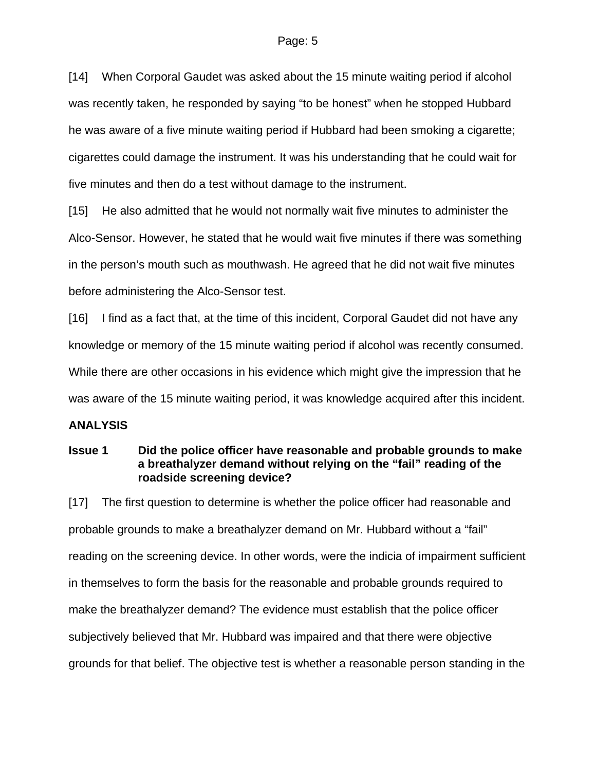[14] When Corporal Gaudet was asked about the 15 minute waiting period if alcohol was recently taken, he responded by saying "to be honest" when he stopped Hubbard he was aware of a five minute waiting period if Hubbard had been smoking a cigarette; cigarettes could damage the instrument. It was his understanding that he could wait for five minutes and then do a test without damage to the instrument.

[15] He also admitted that he would not normally wait five minutes to administer the Alco-Sensor. However, he stated that he would wait five minutes if there was something in the person's mouth such as mouthwash. He agreed that he did not wait five minutes before administering the Alco-Sensor test.

[16] I find as a fact that, at the time of this incident, Corporal Gaudet did not have any knowledge or memory of the 15 minute waiting period if alcohol was recently consumed. While there are other occasions in his evidence which might give the impression that he was aware of the 15 minute waiting period, it was knowledge acquired after this incident.

# **ANALYSIS**

### **Issue 1 Did the police officer have reasonable and probable grounds to make a breathalyzer demand without relying on the "fail" reading of the roadside screening device?**

[17] The first question to determine is whether the police officer had reasonable and probable grounds to make a breathalyzer demand on Mr. Hubbard without a "fail" reading on the screening device. In other words, were the indicia of impairment sufficient in themselves to form the basis for the reasonable and probable grounds required to make the breathalyzer demand? The evidence must establish that the police officer subjectively believed that Mr. Hubbard was impaired and that there were objective grounds for that belief. The objective test is whether a reasonable person standing in the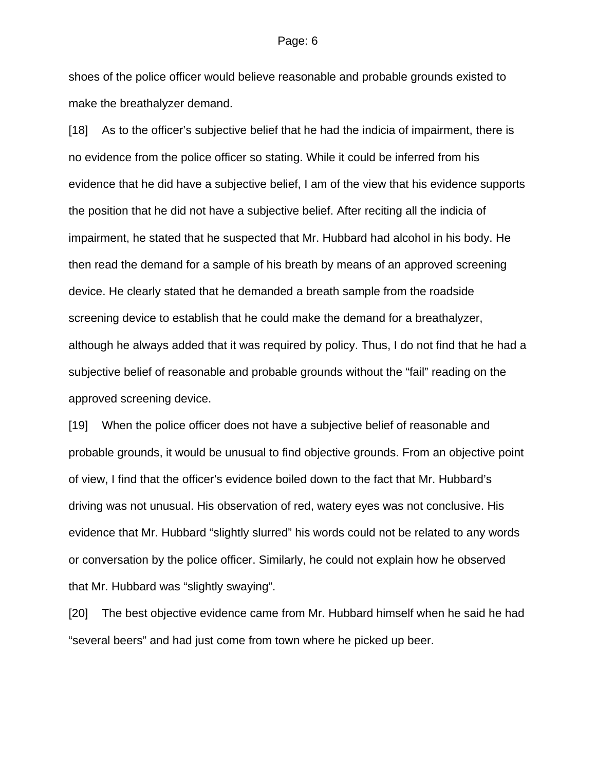shoes of the police officer would believe reasonable and probable grounds existed to make the breathalyzer demand.

[18] As to the officer's subjective belief that he had the indicia of impairment, there is no evidence from the police officer so stating. While it could be inferred from his evidence that he did have a subjective belief, I am of the view that his evidence supports the position that he did not have a subjective belief. After reciting all the indicia of impairment, he stated that he suspected that Mr. Hubbard had alcohol in his body. He then read the demand for a sample of his breath by means of an approved screening device. He clearly stated that he demanded a breath sample from the roadside screening device to establish that he could make the demand for a breathalyzer, although he always added that it was required by policy. Thus, I do not find that he had a subjective belief of reasonable and probable grounds without the "fail" reading on the approved screening device.

[19] When the police officer does not have a subjective belief of reasonable and probable grounds, it would be unusual to find objective grounds. From an objective point of view, I find that the officer's evidence boiled down to the fact that Mr. Hubbard's driving was not unusual. His observation of red, watery eyes was not conclusive. His evidence that Mr. Hubbard "slightly slurred" his words could not be related to any words or conversation by the police officer. Similarly, he could not explain how he observed that Mr. Hubbard was "slightly swaying".

[20] The best objective evidence came from Mr. Hubbard himself when he said he had "several beers" and had just come from town where he picked up beer.

#### Page: 6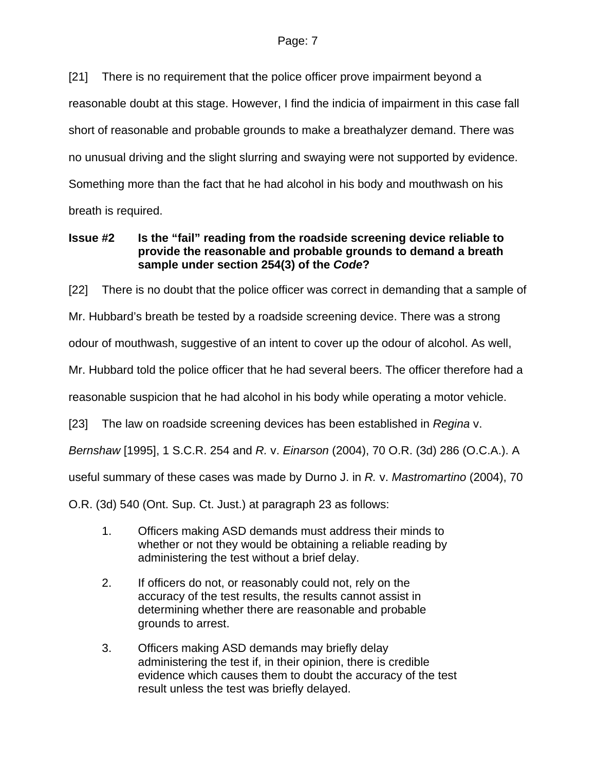[21] There is no requirement that the police officer prove impairment beyond a reasonable doubt at this stage. However, I find the indicia of impairment in this case fall short of reasonable and probable grounds to make a breathalyzer demand. There was no unusual driving and the slight slurring and swaying were not supported by evidence. Something more than the fact that he had alcohol in his body and mouthwash on his breath is required.

**Issue #2 Is the "fail" reading from the roadside screening device reliable to provide the reasonable and probable grounds to demand a breath sample under section 254(3) of the** *Code***?** 

[22] There is no doubt that the police officer was correct in demanding that a sample of Mr. Hubbard's breath be tested by a roadside screening device. There was a strong odour of mouthwash, suggestive of an intent to cover up the odour of alcohol. As well, Mr. Hubbard told the police officer that he had several beers. The officer therefore had a reasonable suspicion that he had alcohol in his body while operating a motor vehicle. [23] The law on roadside screening devices has been established in *Regina* v. *Bernshaw* [1995], 1 S.C.R. 254 and *R.* v. *Einarson* (2004), 70 O.R. (3d) 286 (O.C.A.). A useful summary of these cases was made by Durno J. in *R.* v. *Mastromartino* (2004), 70 O.R. (3d) 540 (Ont. Sup. Ct. Just.) at paragraph 23 as follows:

- 1. Officers making ASD demands must address their minds to whether or not they would be obtaining a reliable reading by administering the test without a brief delay.
- 2. If officers do not, or reasonably could not, rely on the accuracy of the test results, the results cannot assist in determining whether there are reasonable and probable grounds to arrest.
- 3. Officers making ASD demands may briefly delay administering the test if, in their opinion, there is credible evidence which causes them to doubt the accuracy of the test result unless the test was briefly delayed.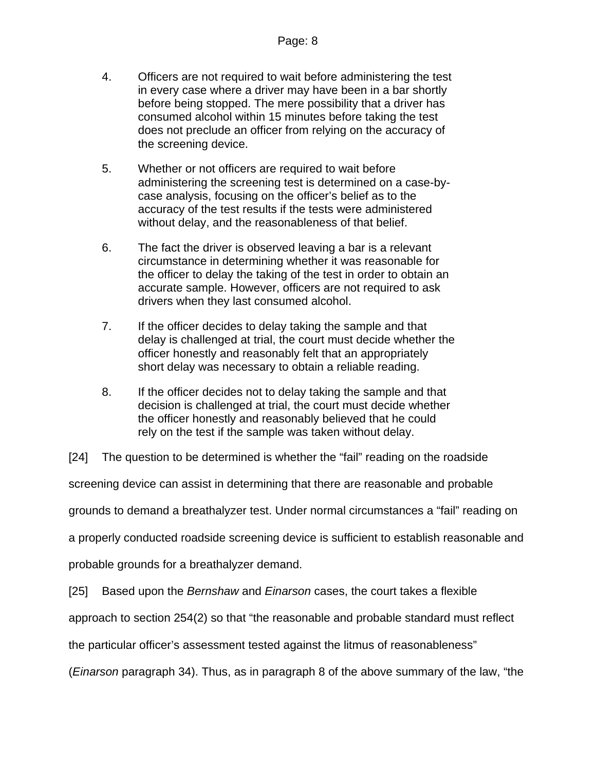- 4. Officers are not required to wait before administering the test in every case where a driver may have been in a bar shortly before being stopped. The mere possibility that a driver has consumed alcohol within 15 minutes before taking the test does not preclude an officer from relying on the accuracy of the screening device.
- 5. Whether or not officers are required to wait before administering the screening test is determined on a case-bycase analysis, focusing on the officer's belief as to the accuracy of the test results if the tests were administered without delay, and the reasonableness of that belief.
- 6. The fact the driver is observed leaving a bar is a relevant circumstance in determining whether it was reasonable for the officer to delay the taking of the test in order to obtain an accurate sample. However, officers are not required to ask drivers when they last consumed alcohol.
- 7. If the officer decides to delay taking the sample and that delay is challenged at trial, the court must decide whether the officer honestly and reasonably felt that an appropriately short delay was necessary to obtain a reliable reading.
- 8. If the officer decides not to delay taking the sample and that decision is challenged at trial, the court must decide whether the officer honestly and reasonably believed that he could rely on the test if the sample was taken without delay.

[24] The question to be determined is whether the "fail" reading on the roadside

screening device can assist in determining that there are reasonable and probable

grounds to demand a breathalyzer test. Under normal circumstances a "fail" reading on

a properly conducted roadside screening device is sufficient to establish reasonable and

probable grounds for a breathalyzer demand.

[25] Based upon the *Bernshaw* and *Einarson* cases, the court takes a flexible

approach to section 254(2) so that "the reasonable and probable standard must reflect

the particular officer's assessment tested against the litmus of reasonableness"

(*Einarson* paragraph 34). Thus, as in paragraph 8 of the above summary of the law, "the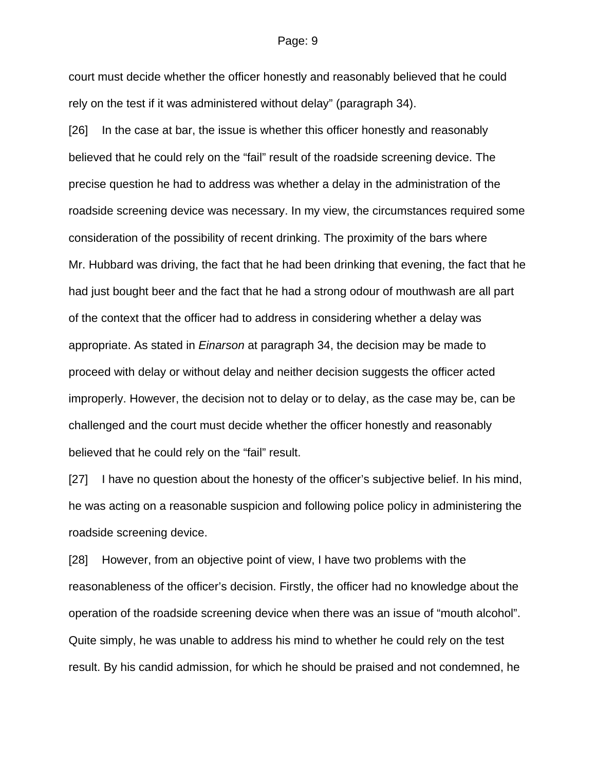#### Page: 9

court must decide whether the officer honestly and reasonably believed that he could rely on the test if it was administered without delay" (paragraph 34).

[26] In the case at bar, the issue is whether this officer honestly and reasonably believed that he could rely on the "fail" result of the roadside screening device. The precise question he had to address was whether a delay in the administration of the roadside screening device was necessary. In my view, the circumstances required some consideration of the possibility of recent drinking. The proximity of the bars where Mr. Hubbard was driving, the fact that he had been drinking that evening, the fact that he had just bought beer and the fact that he had a strong odour of mouthwash are all part of the context that the officer had to address in considering whether a delay was appropriate. As stated in *Einarson* at paragraph 34, the decision may be made to proceed with delay or without delay and neither decision suggests the officer acted improperly. However, the decision not to delay or to delay, as the case may be, can be challenged and the court must decide whether the officer honestly and reasonably believed that he could rely on the "fail" result.

[27] I have no question about the honesty of the officer's subjective belief. In his mind, he was acting on a reasonable suspicion and following police policy in administering the roadside screening device.

[28] However, from an objective point of view, I have two problems with the reasonableness of the officer's decision. Firstly, the officer had no knowledge about the operation of the roadside screening device when there was an issue of "mouth alcohol". Quite simply, he was unable to address his mind to whether he could rely on the test result. By his candid admission, for which he should be praised and not condemned, he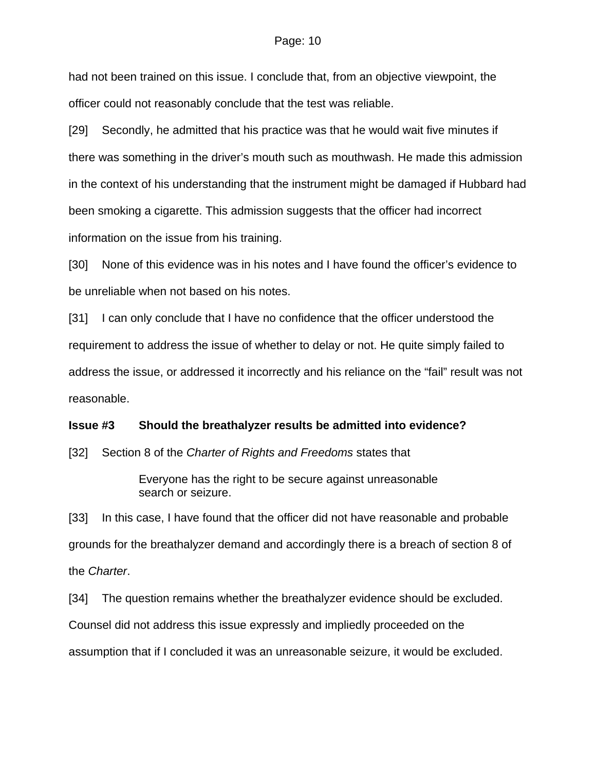#### Page: 10

had not been trained on this issue. I conclude that, from an objective viewpoint, the officer could not reasonably conclude that the test was reliable.

[29] Secondly, he admitted that his practice was that he would wait five minutes if there was something in the driver's mouth such as mouthwash. He made this admission in the context of his understanding that the instrument might be damaged if Hubbard had been smoking a cigarette. This admission suggests that the officer had incorrect information on the issue from his training.

[30] None of this evidence was in his notes and I have found the officer's evidence to be unreliable when not based on his notes.

[31] I can only conclude that I have no confidence that the officer understood the requirement to address the issue of whether to delay or not. He quite simply failed to address the issue, or addressed it incorrectly and his reliance on the "fail" result was not reasonable.

#### **Issue #3 Should the breathalyzer results be admitted into evidence?**

[32] Section 8 of the *Charter of Rights and Freedoms* states that

Everyone has the right to be secure against unreasonable search or seizure.

[33] In this case, I have found that the officer did not have reasonable and probable grounds for the breathalyzer demand and accordingly there is a breach of section 8 of the *Charter*.

[34] The question remains whether the breathalyzer evidence should be excluded. Counsel did not address this issue expressly and impliedly proceeded on the assumption that if I concluded it was an unreasonable seizure, it would be excluded.